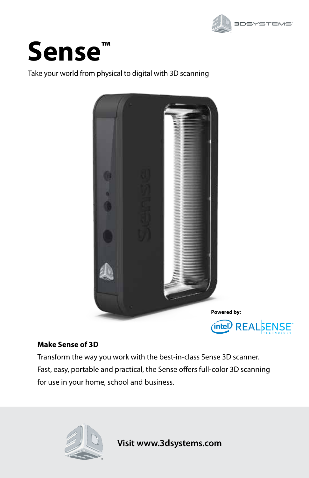



Take your world from physical to digital with 3D scanning



### **Make Sense of 3D**

Transform the way you work with the best-in-class Sense 3D scanner. Fast, easy, portable and practical, the Sense offers full-color 3D scanning for use in your home, school and business.



**Visit www.3dsystems.com**